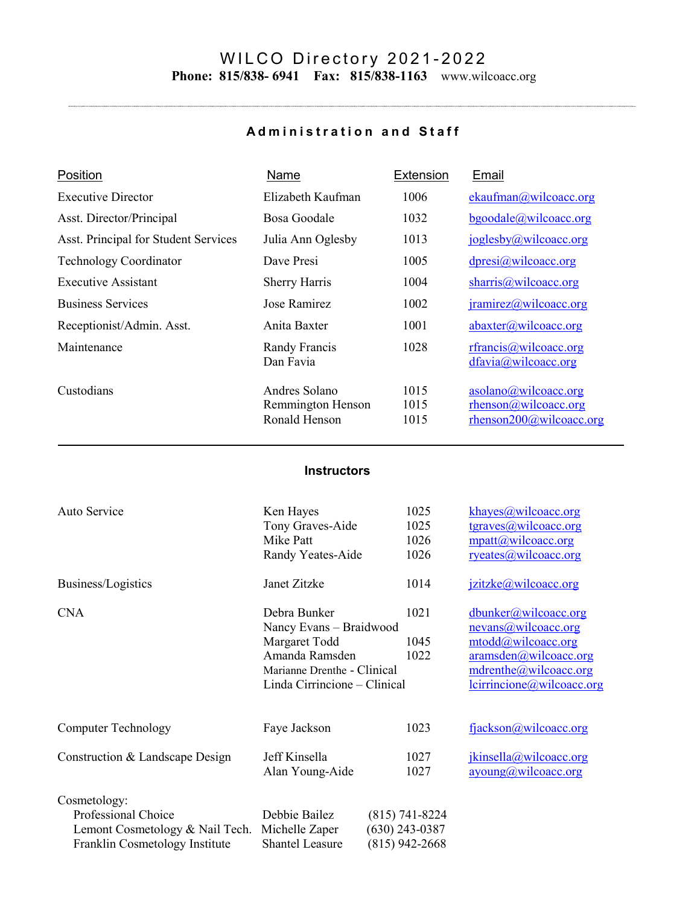## WILCO Directory 2 0 2 1 - 2 0 2 2 **Phone: 815/838- 6941 Fax: 815/838-1163** www.wilcoacc.org

## **Administration and Staff**

..

| Position                             | <b>Name</b>                                         | Extension            | Email                                                                      |
|--------------------------------------|-----------------------------------------------------|----------------------|----------------------------------------------------------------------------|
| <b>Executive Director</b>            | Elizabeth Kaufman                                   | 1006                 | ekaufman@wilcoacc.org                                                      |
| Asst. Director/Principal             | Bosa Goodale                                        | 1032                 | $b$ goodale@wilcoacc.org                                                   |
| Asst. Principal for Student Services | Julia Ann Oglesby                                   | 1013                 | joglesby@wilcoacc.org                                                      |
| <b>Technology Coordinator</b>        | Dave Presi                                          | 1005                 | dpresi@wilcoacc.org                                                        |
| <b>Executive Assistant</b>           | <b>Sherry Harris</b>                                | 1004                 | sharris@wilcoacc.org                                                       |
| <b>Business Services</b>             | Jose Ramirez                                        | 1002                 | $\text{iramirez}(a)\text{wilcoacc.org}$                                    |
| Receptionist/Admin. Asst.            | Anita Baxter                                        | 1001                 | abaxter@wilcoacc.org                                                       |
| Maintenance                          | Randy Francis<br>Dan Favia                          | 1028                 | rfrancis@wilcoacc.org<br>dfavia@wilcoacc.org                               |
| Custodians                           | Andres Solano<br>Remmington Henson<br>Ronald Henson | 1015<br>1015<br>1015 | asolano@wilcoacc.org<br>rhenson@wilcoacc.org<br>$r$ henson200@wilcoacc.org |

## **Instructors**

| Auto Service                                                                                             | Ken Hayes<br>Tony Graves-Aide<br>Mike Patt<br>Randy Yeates-Aide                                                                           | 1025<br>1025<br>1026<br>1026                             | khayes@wilcoacc.org<br>tgraves @wideicoc.org<br>$\text{mpath}(a)$ wilcoacc.org<br>ryeates@wilcoacc.org                                                            |
|----------------------------------------------------------------------------------------------------------|-------------------------------------------------------------------------------------------------------------------------------------------|----------------------------------------------------------|-------------------------------------------------------------------------------------------------------------------------------------------------------------------|
| Business/Logistics                                                                                       | Janet Zitzke                                                                                                                              | 1014                                                     | jzitzke@wilcoacc.org                                                                                                                                              |
| <b>CNA</b>                                                                                               | Debra Bunker<br>Nancy Evans - Braidwood<br>Margaret Todd<br>Amanda Ramsden<br>Marianne Drenthe - Clinical<br>Linda Cirrincione – Clinical | 1021<br>1045<br>1022                                     | dbunker@wilcoacc.org<br>nevans@wilcoacc.org<br>mtodd@wilcoacc.org<br>$aramsden(\omega wilcoacc.org)$<br>mdrenthe@wilcoacc.org<br><u>lcirrincione@wilcoacc.org</u> |
| <b>Computer Technology</b>                                                                               | Faye Jackson                                                                                                                              | 1023                                                     | fjackson@wilcoacc.org                                                                                                                                             |
| Construction & Landscape Design                                                                          | Jeff Kinsella<br>Alan Young-Aide                                                                                                          | 1027<br>1027                                             | jkinsella@wilcoacc.org<br>$\frac{ayoung(a)wilcoacc.org}{ayoung(a)wilcoacc.org}$                                                                                   |
| Cosmetology:<br>Professional Choice<br>Lemont Cosmetology & Nail Tech.<br>Franklin Cosmetology Institute | Debbie Bailez<br>Michelle Zaper<br><b>Shantel Leasure</b>                                                                                 | $(815)$ 741-8224<br>$(630)$ 243-0387<br>$(815)$ 942-2668 |                                                                                                                                                                   |